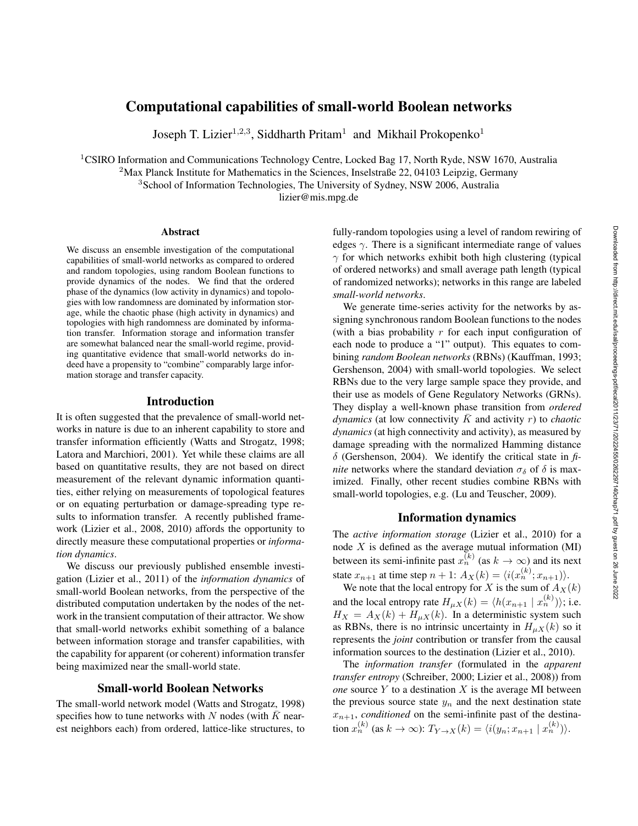# Computational capabilities of small-world Boolean networks

Joseph T. Lizier<sup>1,2,3</sup>, Siddharth Pritam<sup>1</sup> and Mikhail Prokopenko<sup>1</sup>

<sup>1</sup>CSIRO Information and Communications Technology Centre, Locked Bag 17, North Ryde, NSW 1670, Australia

<sup>2</sup>Max Planck Institute for Mathematics in the Sciences, Inselstraße 22, 04103 Leipzig, Germany

<sup>3</sup>School of Information Technologies, The University of Sydney, NSW 2006, Australia

lizier@mis.mpg.de

#### Abstract

We discuss an ensemble investigation of the computational capabilities of small-world networks as compared to ordered and random topologies, using random Boolean functions to provide dynamics of the nodes. We find that the ordered phase of the dynamics (low activity in dynamics) and topologies with low randomness are dominated by information storage, while the chaotic phase (high activity in dynamics) and topologies with high randomness are dominated by information transfer. Information storage and information transfer are somewhat balanced near the small-world regime, providing quantitative evidence that small-world networks do indeed have a propensity to "combine" comparably large information storage and transfer capacity.

## Introduction

It is often suggested that the prevalence of small-world networks in nature is due to an inherent capability to store and transfer information efficiently (Watts and Strogatz, 1998; Latora and Marchiori, 2001). Yet while these claims are all based on quantitative results, they are not based on direct measurement of the relevant dynamic information quantities, either relying on measurements of topological features or on equating perturbation or damage-spreading type results to information transfer. A recently published framework (Lizier et al., 2008, 2010) affords the opportunity to directly measure these computational properties or *information dynamics*.

We discuss our previously published ensemble investigation (Lizier et al., 2011) of the *information dynamics* of small-world Boolean networks, from the perspective of the distributed computation undertaken by the nodes of the network in the transient computation of their attractor. We show that small-world networks exhibit something of a balance between information storage and transfer capabilities, with the capability for apparent (or coherent) information transfer being maximized near the small-world state.

## Small-world Boolean Networks

The small-world network model (Watts and Strogatz, 1998) specifies how to tune networks with N nodes (with  $\overline{K}$  nearest neighbors each) from ordered, lattice-like structures, to

fully-random topologies using a level of random rewiring of edges  $\gamma$ . There is a significant intermediate range of values  $\gamma$  for which networks exhibit both high clustering (typical of ordered networks) and small average path length (typical of randomized networks); networks in this range are labeled *small-world networks*.

We generate time-series activity for the networks by assigning synchronous random Boolean functions to the nodes (with a bias probability  $r$  for each input configuration of each node to produce a "1" output). This equates to combining *random Boolean networks* (RBNs) (Kauffman, 1993; Gershenson, 2004) with small-world topologies. We select RBNs due to the very large sample space they provide, and their use as models of Gene Regulatory Networks (GRNs). They display a well-known phase transition from *ordered dynamics* (at low connectivity  $\overline{K}$  and activity r) to *chaotic dynamics* (at high connectivity and activity), as measured by damage spreading with the normalized Hamming distance δ (Gershenson, 2004). We identify the critical state in *finite* networks where the standard deviation  $\sigma_{\delta}$  of  $\delta$  is maximized. Finally, other recent studies combine RBNs with small-world topologies, e.g. (Lu and Teuscher, 2009).

### Information dynamics

The *active information storage* (Lizier et al., 2010) for a node  $X$  is defined as the average mutual information (MI) between its semi-infinite past  $x_n^{(k)}$  (as  $k \to \infty$ ) and its next state  $x_{n+1}$  at time step  $n+1$ :  $A_X(k) = \langle i(x_n^{(k)}; x_{n+1}) \rangle$ .

We note that the local entropy for X is the sum of  $A_X(k)$ and the local entropy rate  $H_{\mu X}(k) = \langle h(x_{n+1} | x_n^{(k)}) \rangle$ ; i.e.  $H_X = A_X(k) + H_{\mu X}(k)$ . In a deterministic system such as RBNs, there is no intrinsic uncertainty in  $H_{\mu X}(k)$  so it represents the *joint* contribution or transfer from the causal information sources to the destination (Lizier et al., 2010).

The *information transfer* (formulated in the *apparent transfer entropy* (Schreiber, 2000; Lizier et al., 2008)) from *one* source Y to a destination X is the average MI between the previous source state  $y_n$  and the next destination state  $x_{n+1}$ *, conditioned* on the semi-infinite past of the destination  $x_n^{(k)}$  (as  $k \to \infty$ ):  $T_{Y \to X}(k) = \langle i(y_n; x_{n+1} | x_n^{(k)}) \rangle$ .